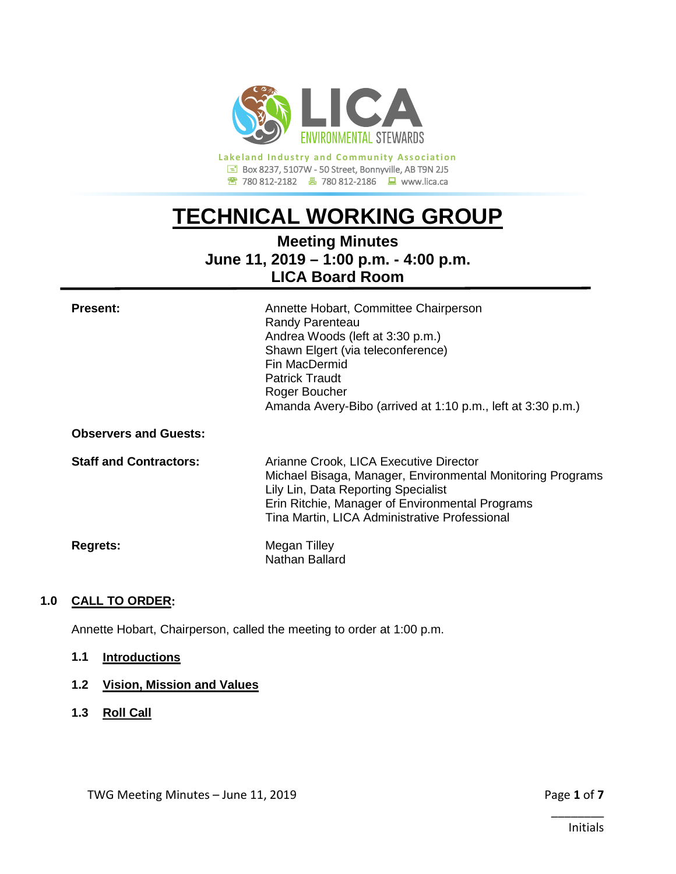

**Lakeland Industry and Community Association Box 8237, 5107W - 50 Street, Bonnyville, AB T9N 2J5 <sup><sup>2</sup></sup> 780 812-2182 ■ 780 812-2186** ■ www.lica.ca

# **TECHNICAL WORKING GROUP**

## **Meeting Minutes June 11, 2019 – 1:00 p.m. - 4:00 p.m. LICA Board Room**

| <b>Present:</b> | Annette Hobart, Committee Chairperson                       |
|-----------------|-------------------------------------------------------------|
|                 | Randy Parenteau                                             |
|                 | Andrea Woods (left at 3:30 p.m.)                            |
|                 | Shawn Elgert (via teleconference)                           |
|                 | Fin MacDermid                                               |
|                 | <b>Patrick Traudt</b>                                       |
|                 | Roger Boucher                                               |
|                 | Amanda Avery-Bibo (arrived at 1:10 p.m., left at 3:30 p.m.) |
|                 |                                                             |

**Observers and Guests:**

**Staff and Contractors:** Arianne Crook, LICA Executive Director Michael Bisaga, Manager, Environmental Monitoring Programs Lily Lin, Data Reporting Specialist Erin Ritchie, Manager of Environmental Programs Tina Martin, LICA Administrative Professional

**Regrets:** Megan Tilley

Nathan Ballard

## **1.0 CALL TO ORDER:**

Annette Hobart, Chairperson, called the meeting to order at 1:00 p.m.

**1.1 Introductions**

## **1.2 Vision, Mission and Values**

**1.3 Roll Call**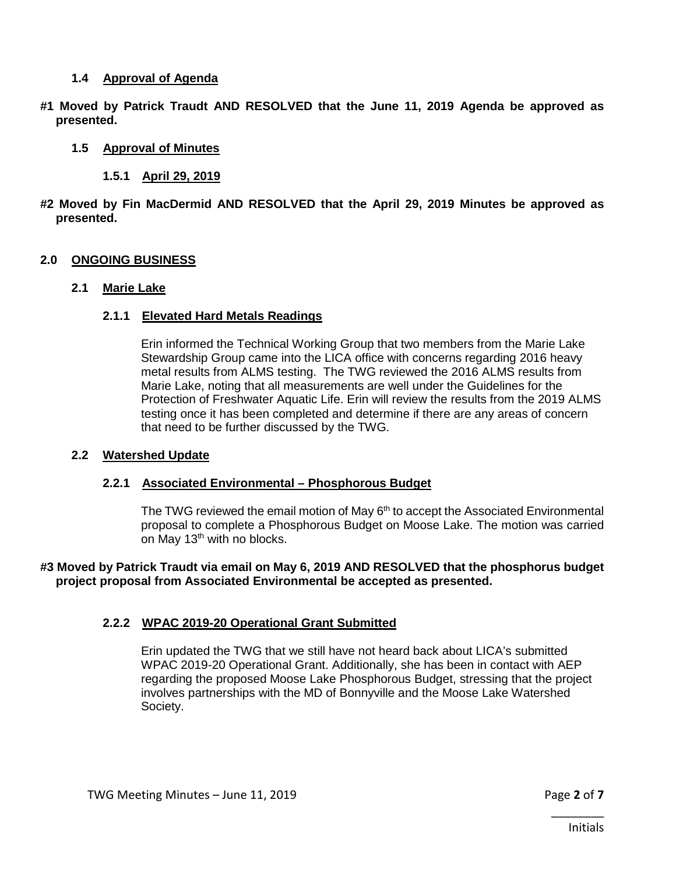## **1.4 Approval of Agenda**

**#1 Moved by Patrick Traudt AND RESOLVED that the June 11, 2019 Agenda be approved as presented.**

## **1.5 Approval of Minutes**

## **1.5.1 April 29, 2019**

**#2 Moved by Fin MacDermid AND RESOLVED that the April 29, 2019 Minutes be approved as presented.**

## **2.0 ONGOING BUSINESS**

## **2.1 Marie Lake**

## **2.1.1 Elevated Hard Metals Readings**

Erin informed the Technical Working Group that two members from the Marie Lake Stewardship Group came into the LICA office with concerns regarding 2016 heavy metal results from ALMS testing. The TWG reviewed the 2016 ALMS results from Marie Lake, noting that all measurements are well under the Guidelines for the Protection of Freshwater Aquatic Life. Erin will review the results from the 2019 ALMS testing once it has been completed and determine if there are any areas of concern that need to be further discussed by the TWG.

#### **2.2 Watershed Update**

#### **2.2.1 Associated Environmental – Phosphorous Budget**

The TWG reviewed the email motion of May 6<sup>th</sup> to accept the Associated Environmental proposal to complete a Phosphorous Budget on Moose Lake. The motion was carried on May 13<sup>th</sup> with no blocks.

**#3 Moved by Patrick Traudt via email on May 6, 2019 AND RESOLVED that the phosphorus budget project proposal from Associated Environmental be accepted as presented.** 

## **2.2.2 WPAC 2019-20 Operational Grant Submitted**

Erin updated the TWG that we still have not heard back about LICA's submitted WPAC 2019-20 Operational Grant. Additionally, she has been in contact with AEP regarding the proposed Moose Lake Phosphorous Budget, stressing that the project involves partnerships with the MD of Bonnyville and the Moose Lake Watershed Society.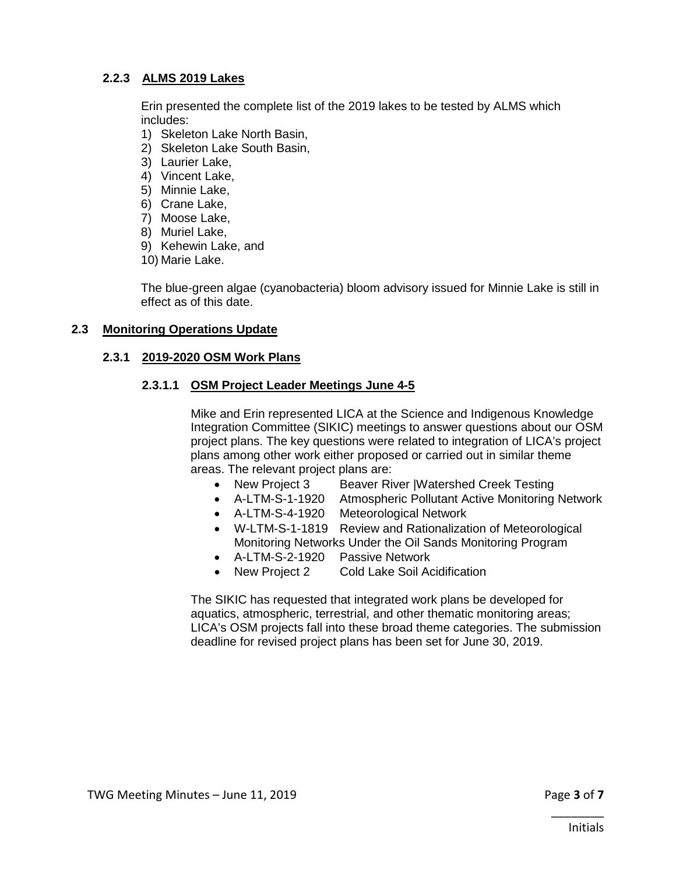## **2.2.3 ALMS 2019 Lakes**

Erin presented the complete list of the 2019 lakes to be tested by ALMS which includes:

- 1) Skeleton Lake North Basin,
- 2) Skeleton Lake South Basin,
- 3) Laurier Lake,
- 4) Vincent Lake,
- 5) Minnie Lake,
- 6) Crane Lake,
- 7) Moose Lake,
- 8) Muriel Lake,
- 9) Kehewin Lake, and
- 10) Marie Lake.

The blue-green algae (cyanobacteria) bloom advisory issued for Minnie Lake is still in effect as of this date.

## **2.3 Monitoring Operations Update**

## **2.3.1 2019-2020 OSM Work Plans**

## **2.3.1.1 OSM Project Leader Meetings June 4-5**

Mike and Erin represented LICA at the Science and Indigenous Knowledge Integration Committee (SIKIC) meetings to answer questions about our OSM project plans. The key questions were related to integration of LICA's project plans among other work either proposed or carried out in similar theme areas. The relevant project plans are:

- New Project 3 Beaver River |Watershed Creek Testing
- A-LTM-S-1-1920 Atmospheric Pollutant Active Monitoring Network
- A-LTM-S-4-1920 Meteorological Network
- W-LTM-S-1-1819 Review and Rationalization of Meteorological Monitoring Networks Under the Oil Sands Monitoring Program
- A-LTM-S-2-1920 Passive Network
- New Project 2 Cold Lake Soil Acidification

The SIKIC has requested that integrated work plans be developed for aquatics, atmospheric, terrestrial, and other thematic monitoring areas; LICA's OSM projects fall into these broad theme categories. The submission deadline for revised project plans has been set for June 30, 2019.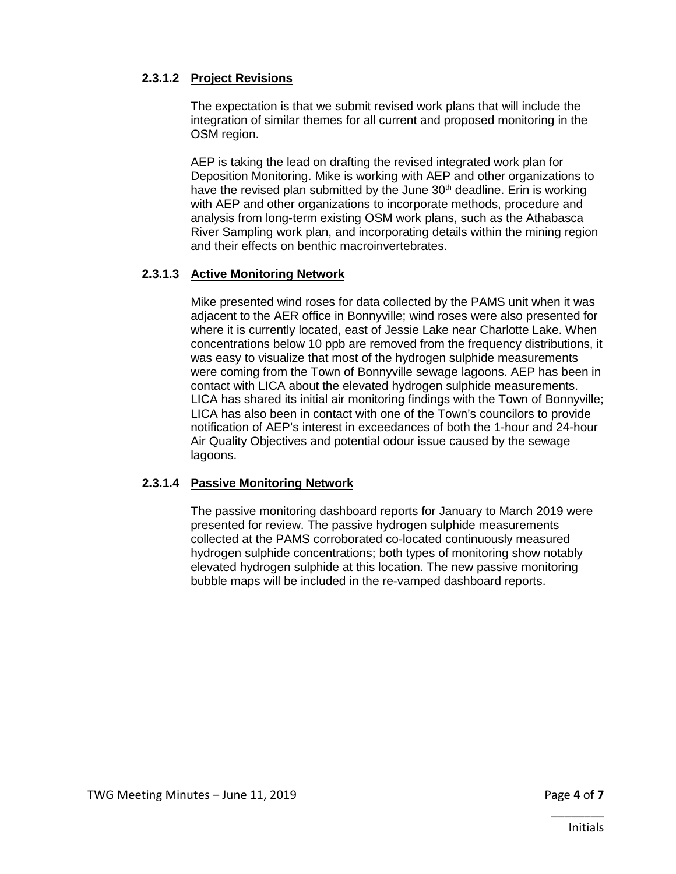## **2.3.1.2 Project Revisions**

The expectation is that we submit revised work plans that will include the integration of similar themes for all current and proposed monitoring in the OSM region.

AEP is taking the lead on drafting the revised integrated work plan for Deposition Monitoring. Mike is working with AEP and other organizations to have the revised plan submitted by the June  $30<sup>th</sup>$  deadline. Erin is working with AEP and other organizations to incorporate methods, procedure and analysis from long-term existing OSM work plans, such as the Athabasca River Sampling work plan, and incorporating details within the mining region and their effects on benthic macroinvertebrates.

## **2.3.1.3 Active Monitoring Network**

Mike presented wind roses for data collected by the PAMS unit when it was adjacent to the AER office in Bonnyville; wind roses were also presented for where it is currently located, east of Jessie Lake near Charlotte Lake. When concentrations below 10 ppb are removed from the frequency distributions, it was easy to visualize that most of the hydrogen sulphide measurements were coming from the Town of Bonnyville sewage lagoons. AEP has been in contact with LICA about the elevated hydrogen sulphide measurements. LICA has shared its initial air monitoring findings with the Town of Bonnyville; LICA has also been in contact with one of the Town's councilors to provide notification of AEP's interest in exceedances of both the 1-hour and 24-hour Air Quality Objectives and potential odour issue caused by the sewage lagoons.

#### **2.3.1.4 Passive Monitoring Network**

The passive monitoring dashboard reports for January to March 2019 were presented for review. The passive hydrogen sulphide measurements collected at the PAMS corroborated co-located continuously measured hydrogen sulphide concentrations; both types of monitoring show notably elevated hydrogen sulphide at this location. The new passive monitoring bubble maps will be included in the re-vamped dashboard reports.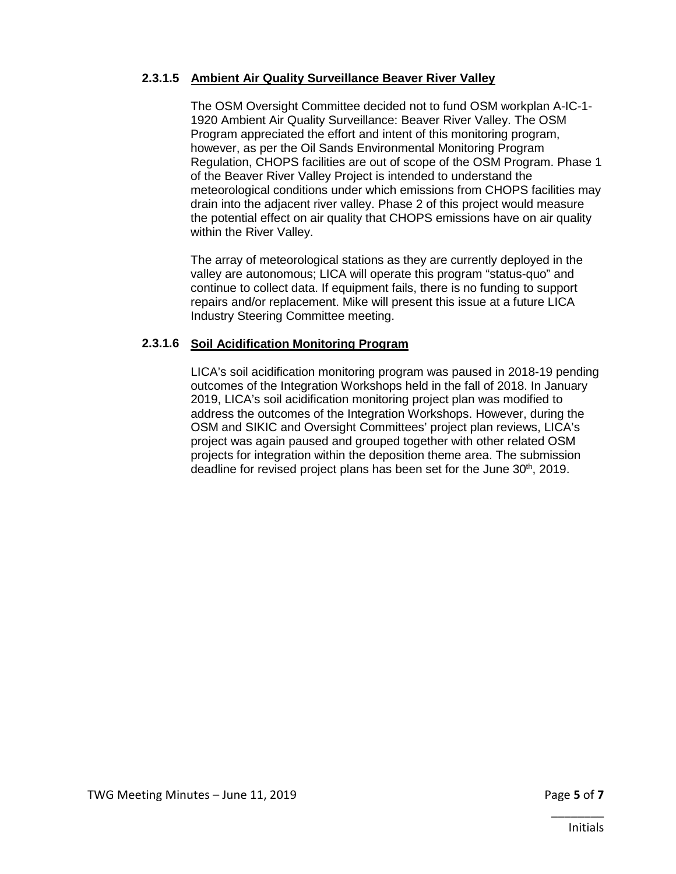## **2.3.1.5 Ambient Air Quality Surveillance Beaver River Valley**

The OSM Oversight Committee decided not to fund OSM workplan A-IC-1- 1920 Ambient Air Quality Surveillance: Beaver River Valley. The OSM Program appreciated the effort and intent of this monitoring program, however, as per the Oil Sands Environmental Monitoring Program Regulation, CHOPS facilities are out of scope of the OSM Program. Phase 1 of the Beaver River Valley Project is intended to understand the meteorological conditions under which emissions from CHOPS facilities may drain into the adjacent river valley. Phase 2 of this project would measure the potential effect on air quality that CHOPS emissions have on air quality within the River Valley.

The array of meteorological stations as they are currently deployed in the valley are autonomous; LICA will operate this program "status-quo" and continue to collect data. If equipment fails, there is no funding to support repairs and/or replacement. Mike will present this issue at a future LICA Industry Steering Committee meeting.

## **2.3.1.6 Soil Acidification Monitoring Program**

LICA's soil acidification monitoring program was paused in 2018-19 pending outcomes of the Integration Workshops held in the fall of 2018. In January 2019, LICA's soil acidification monitoring project plan was modified to address the outcomes of the Integration Workshops. However, during the OSM and SIKIC and Oversight Committees' project plan reviews, LICA's project was again paused and grouped together with other related OSM projects for integration within the deposition theme area. The submission deadline for revised project plans has been set for the June 30<sup>th</sup>, 2019.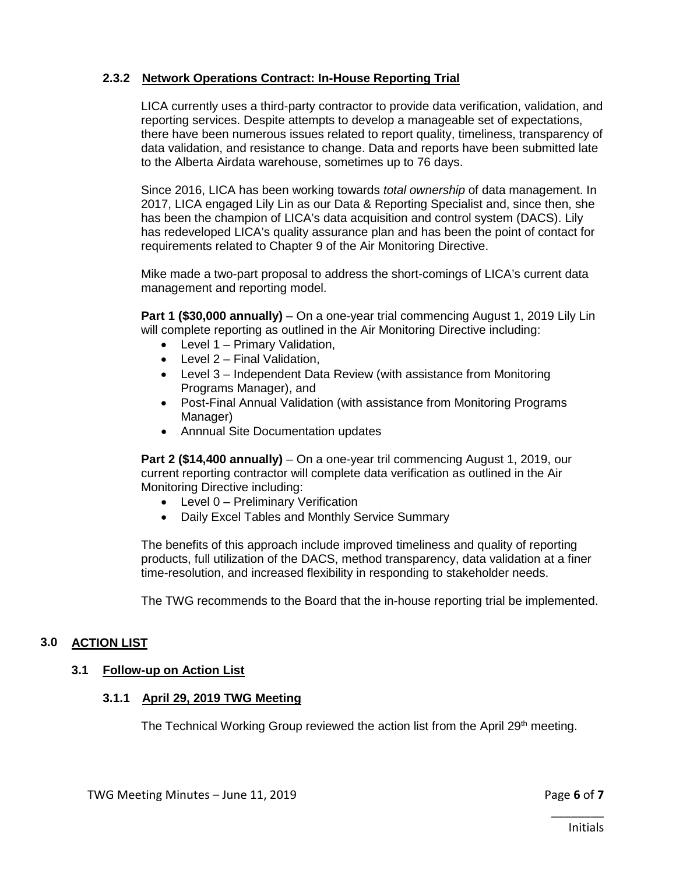## **2.3.2 Network Operations Contract: In-House Reporting Trial**

LICA currently uses a third-party contractor to provide data verification, validation, and reporting services. Despite attempts to develop a manageable set of expectations, there have been numerous issues related to report quality, timeliness, transparency of data validation, and resistance to change. Data and reports have been submitted late to the Alberta Airdata warehouse, sometimes up to 76 days.

Since 2016, LICA has been working towards *total ownership* of data management. In 2017, LICA engaged Lily Lin as our Data & Reporting Specialist and, since then, she has been the champion of LICA's data acquisition and control system (DACS). Lily has redeveloped LICA's quality assurance plan and has been the point of contact for requirements related to Chapter 9 of the Air Monitoring Directive.

Mike made a two-part proposal to address the short-comings of LICA's current data management and reporting model.

**Part 1 (\$30,000 annually)** – On a one-year trial commencing August 1, 2019 Lily Lin will complete reporting as outlined in the Air Monitoring Directive including:

- Level 1 Primary Validation,
- Level 2 Final Validation,
- Level 3 Independent Data Review (with assistance from Monitoring Programs Manager), and
- Post-Final Annual Validation (with assistance from Monitoring Programs Manager)
- Annnual Site Documentation updates

**Part 2 (\$14,400 annually)** – On a one-year tril commencing August 1, 2019, our current reporting contractor will complete data verification as outlined in the Air Monitoring Directive including:

- Level 0 Preliminary Verification
- Daily Excel Tables and Monthly Service Summary

The benefits of this approach include improved timeliness and quality of reporting products, full utilization of the DACS, method transparency, data validation at a finer time-resolution, and increased flexibility in responding to stakeholder needs.

The TWG recommends to the Board that the in-house reporting trial be implemented.

## **3.0 ACTION LIST**

#### **3.1 Follow-up on Action List**

#### **3.1.1 April 29, 2019 TWG Meeting**

The Technical Working Group reviewed the action list from the April 29<sup>th</sup> meeting.